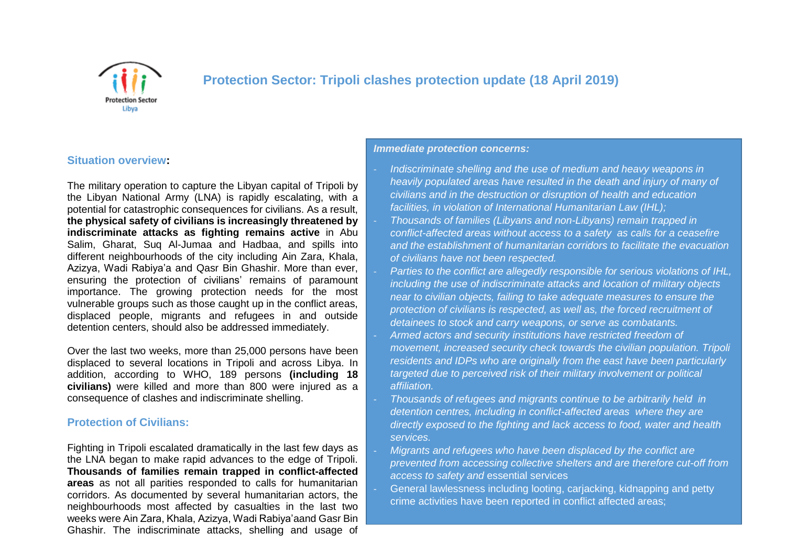

# **Protection Sector: Tripoli clashes protection update (18 April 2019)**

## **Situation overview:**

The military operation to capture the Libyan capital of Tripoli by the Libyan National Army (LNA) is rapidly escalating, with a potential for catastrophic consequences for civilians. As a result, **the physical safety of civilians is increasingly threatened by indiscriminate attacks as fighting remains active** in Abu Salim, Gharat, Suq Al-Jumaa and Hadbaa, and spills into different neighbourhoods of the city including Ain Zara, Khala, Azizya, Wadi Rabiya'a and Qasr Bin Ghashir. More than ever, ensuring the protection of civilians' remains of paramount importance. The growing protection needs for the most vulnerable groups such as those caught up in the conflict areas, displaced people, migrants and refugees in and outside detention centers, should also be addressed immediately.

Over the last two weeks, more than 25,000 persons have been displaced to several locations in Tripoli and across Libya. In addition, according to WHO, 189 persons **(including 18 civilians)** were killed and more than 800 were injured as a consequence of clashes and indiscriminate shelling.

#### **Protection of Civilians:**

Fighting in Tripoli escalated dramatically in the last few days as the LNA began to make rapid advances to the edge of Tripoli. **Thousands of families remain trapped in conflict-affected areas** as not all parities responded to calls for humanitarian corridors. As documented by several humanitarian actors, the neighbourhoods most affected by casualties in the last two weeks were Ain Zara, Khala, Azizya, Wadi Rabiya'aand Gasr Bin Ghashir. The indiscriminate attacks, shelling and usage of

#### *Immediate protection concerns:*

- *Indiscriminate shelling and the use of medium and heavy weapons in heavily populated areas have resulted in the death and injury of many of civilians and in the destruction or disruption of health and education facilities, in violation of International Humanitarian Law (IHL);* - *Thousands of families (Libyans and non-Libyans) remain trapped in conflict-affected areas without access to a safety as calls for a ceasefire and the establishment of humanitarian corridors to facilitate the evacuation of civilians have not been respected.*

- *Parties to the conflict are allegedly responsible for serious violations of IHL, including the use of indiscriminate attacks and location of military objects near to civilian objects, failing to take adequate measures to ensure the protection of civilians is respected, as well as, the forced recruitment of detainees to stock and carry weapons, or serve as combatants.*  - *Armed actors and security institutions have restricted freedom of movement, increased security check towards the civilian population. Tripoli residents and IDPs who are originally from the east have been particularly targeted due to perceived risk of their military involvement or political affiliation.*

- *Thousands of refugees and migrants continue to be arbitrarily held in detention centres, including in conflict-affected areas where they are directly exposed to the fighting and lack access to food, water and health services.*

- *Migrants and refugees who have been displaced by the conflict are prevented from accessing collective shelters and are therefore cut-off from access to safety and* essential services

General lawlessness including looting, carjacking, kidnapping and petty crime activities have been reported in conflict affected areas;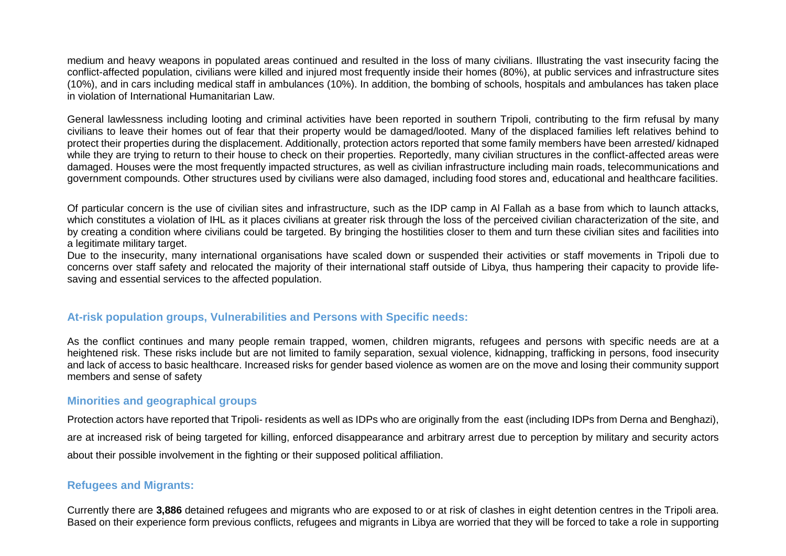medium and heavy weapons in populated areas continued and resulted in the loss of many civilians. Illustrating the vast insecurity facing the conflict-affected population, civilians were killed and injured most frequently inside their homes (80%), at public services and infrastructure sites (10%), and in cars including medical staff in ambulances (10%). In addition, the bombing of schools, hospitals and ambulances has taken place in violation of International Humanitarian Law.

General lawlessness including looting and criminal activities have been reported in southern Tripoli, contributing to the firm refusal by many civilians to leave their homes out of fear that their property would be damaged/looted. Many of the displaced families left relatives behind to protect their properties during the displacement. Additionally, protection actors reported that some family members have been arrested/ kidnaped while they are trying to return to their house to check on their properties. Reportedly, many civilian structures in the conflict-affected areas were damaged. Houses were the most frequently impacted structures, as well as civilian infrastructure including main roads, telecommunications and government compounds. Other structures used by civilians were also damaged, including food stores and, educational and healthcare facilities.

Of particular concern is the use of civilian sites and infrastructure, such as the IDP camp in Al Fallah as a base from which to launch attacks, which constitutes a violation of IHL as it places civilians at greater risk through the loss of the perceived civilian characterization of the site, and by creating a condition where civilians could be targeted. By bringing the hostilities closer to them and turn these civilian sites and facilities into a legitimate military target.

Due to the insecurity, many international organisations have scaled down or suspended their activities or staff movements in Tripoli due to concerns over staff safety and relocated the majority of their international staff outside of Libya, thus hampering their capacity to provide lifesaving and essential services to the affected population.

### **At-risk population groups, Vulnerabilities and Persons with Specific needs:**

As the conflict continues and many people remain trapped, women, children migrants, refugees and persons with specific needs are at a heightened risk. These risks include but are not limited to family separation, sexual violence, kidnapping, trafficking in persons, food insecurity and lack of access to basic healthcare. Increased risks for gender based violence as women are on the move and losing their community support members and sense of safety

#### **Minorities and geographical groups**

Protection actors have reported that Tripoli- residents as well as IDPs who are originally from the east (including IDPs from Derna and Benghazi), are at increased risk of being targeted for killing, enforced disappearance and arbitrary arrest due to perception by military and security actors about their possible involvement in the fighting or their supposed political affiliation.

#### **Refugees and Migrants:**

Currently there are **3,886** detained refugees and migrants who are exposed to or at risk of clashes in eight detention centres in the Tripoli area. Based on their experience form previous conflicts, refugees and migrants in Libya are worried that they will be forced to take a role in supporting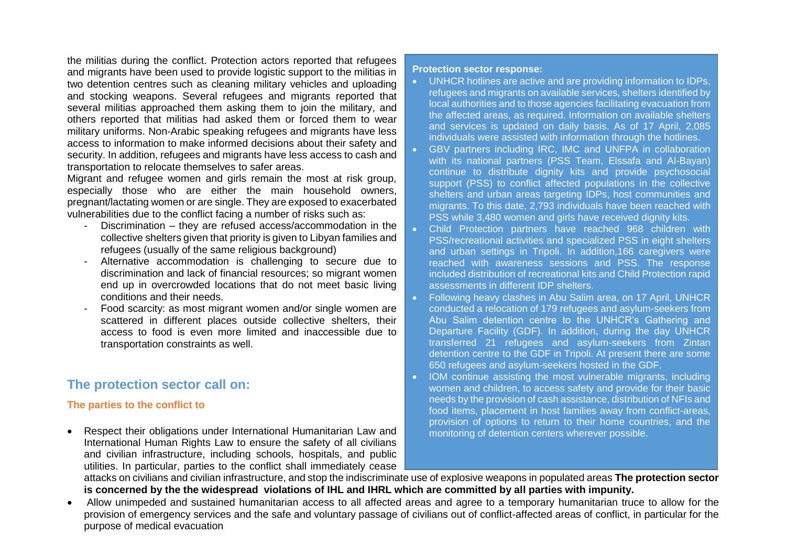the militias during the conflict. Protection actors reported that refugees and migrants have been used to provide logistic support to the militias in two detention centres such as cleaning military vehicles and uploading and stocking weapons. Several refugees and migrants reported that several militias approached them asking them to join the military, and others reported that militias had asked them or forced them to wear military uniforms. Non-Arabic speaking refugees and migrants have less access to information to make informed decisions about their safety and security. In addition, refugees and migrants have less access to cash and transportation to relocate themselves to safer areas.

Migrant and refugee women and girls remain the most at risk group, especially those who are either the main household owners, pregnant/lactating women or are single. They are exposed to exacerbated vulnerabilities due to the conflict facing a number of risks such as:

- Discrimination they are refused access/accommodation in the collective shelters given that priority is given to Libyan families and refugees (usually of the same religious background)
- Alternative accommodation is challenging to secure due to discrimination and lack of financial resources; so migrant women end up in overcrowded locations that do not meet basic living conditions and their needs.
- Food scarcity: as most migrant women and/or single women are scattered in different places outside collective shelters, their access to food is even more limited and inaccessible due to transportation constraints as well.

# **The protection sector call on:**

### **The parties to the conflict to**

 Respect their obligations under International Humanitarian Law and International Human Rights Law to ensure the safety of all civilians and civilian infrastructure, including schools, hospitals, and public utilities. In particular, parties to the conflict shall immediately cease

#### **Protection sector response:**

- UNHCR hotlines are active and are providing information to IDPs, refugees and migrants on available services, shelters identified by local authorities and to those agencies facilitating evacuation from the affected areas, as required. Information on available shelters and services is updated on daily basis. As of 17 April, 2,085 individuals were assisted with information through the hotlines.
- GBV partners including IRC, IMC and UNFPA in collaboration with its national partners (PSS Team, Elssafa and Al-Bayan) continue to distribute dignity kits and provide psychosocial support (PSS) to conflict affected populations in the collective shelters and urban areas targeting IDPs, host communities and migrants. To this date, 2,793 individuals have been reached with PSS while 3,480 women and girls have received dignity kits.
- Child Protection partners have reached 968 children with PSS/recreational activities and specialized PSS in eight shelters and urban settings in Tripoli. In addition,166 caregivers were reached with awareness sessions and PSS. The response included distribution of recreational kits and Child Protection rapid assessments in different IDP shelters.
- Following heavy clashes in Abu Salim area, on 17 April, UNHCR conducted a relocation of 179 refugees and asylum-seekers from Abu Salim detention centre to the UNHCR's Gathering and Departure Facility (GDF). In addition, during the day UNHCR transferred 21 refugees and asylum-seekers from Zintan detention centre to the GDF in Tripoli. At present there are some 650 refugees and asylum-seekers hosted in the GDF.
- IOM continue assisting the most vulnerable migrants, including women and children, to access safety and provide for their basic needs by the provision of cash assistance, distribution of NFIs and food items, placement in host families away from conflict-areas, provision of options to return to their home countries, and the monitoring of detention centers wherever possible.

attacks on civilians and civilian infrastructure, and stop the indiscriminate use of explosive weapons in populated areas **The protection sector is concerned by the the widespread violations of IHL and IHRL which are committed by all parties with impunity.**

 Allow unimpeded and sustained humanitarian access to all affected areas and agree to a temporary humanitarian truce to allow for the provision of emergency services and the safe and voluntary passage of civilians out of conflict-affected areas of conflict, in particular for the purpose of medical evacuation